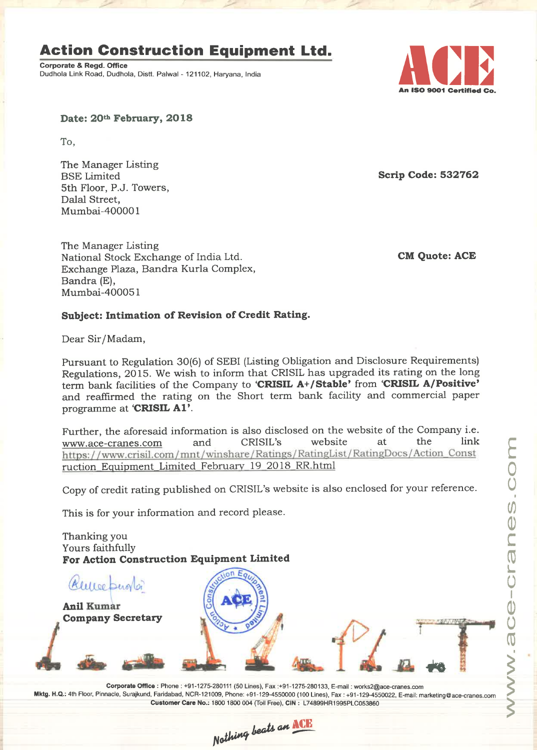# **Action Construction Equipment Ltd.**

Corporate 8. Regd. Office Corporate & Regd. Office<br>
Dudhola Link Road, Dudhola, Distt. Palwal - 121102, Haryana, India



Date: 20th February, 2018

To,

The Manager Listing 5th Floor, P.J. Towers, Dalal Street, Mumbai—400001

The Manager Listing National Stock Exchange of India Ltd. CM Quote: ACE Exchange Plaza, Bandra Kurla Complex, Bandra (E), Mumbai—400051

Scrip Code: 532762

## Subject: Intimation of Revision of Credit Rating.

Dear Sir/ Madam,

Pursuant to Regulation 30(6) of SEBI (Listing Obligation and Disclosure Requirements) Regulations, 2015. We wish to inform that CRISIL has upgraded its rating on the long term bank facilities of the Company to 'CRISIL A+/Stable' from 'CRISIL A/Positive' and reaffirmed the rating on the Short term bank facility and commercial paper programme at 'CRISIL A1'.

Further, the aforesaid information is also disclosed on the website of the Company i.e.<br>www.ace-cranes.com and CRISIL's website at the link www.ace-cranes.com and CRISIL's website at the link https://www.crisil.com/mnt/winshare/Ratings/RatingList/RatingDocs/Action\_Const ruction Equipment Limited Februarv 19 2018 RR.htm1

Copy of credit rating published on CRISIL'S website is also enclosed for your reference.

This is for your information and record please.

Thanking you Yours faithfully For Action Construction Equipment Limited



 $_{\mathcal{R}}$  $_{\mathcal{U}\mathcal{U}}$  to  $_{\mathcal{L}}$ 

Company Secretary first and

. Mktg. H.Q.: 4th Floor. PInnacIe, Surajkund, Faridabad, NCR-121009, Phone: +91-129-4550000 (100 Lines), Fax :+91-129-4550022, E-mail: marketing©ace-cranes.com Corporate Office : Phone : +91-1275-280111 (50 Lines), Fax :+91-1275—280133, E-mail : worksZ@ace—cranes.com Customer Care No.: 1800 1800 004 (Toll Free), CIN : L74899HR1995PL0053860

Nothing beats an ACE

WWW-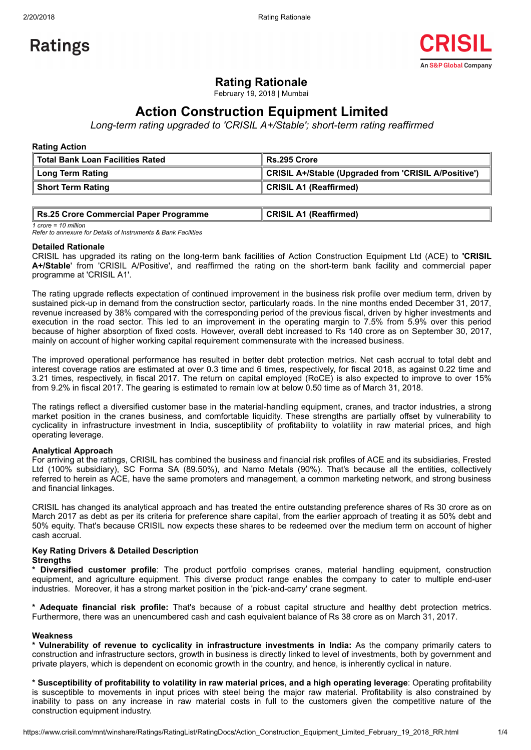

## Rating Rationale

February 19, 2018 | Mumbai

# Action Construction Equipment Limited

Long-term rating upgraded to 'CRISIL A+/Stable'; short-term rating reaffirmed

## Rating Action

| ∥ Total Bank Loan Facilities Rated | Rs.295 Crore                                         |
|------------------------------------|------------------------------------------------------|
| Long Term Rating                   | CRISIL A+/Stable (Upgraded from 'CRISIL A/Positive') |
| Short Term Rating                  | <b>CRISIL A1 (Reaffirmed)</b>                        |

| Rs.25 Crore Commercial Paper Programme | CRISIL A1 (Reaffirmed) |
|----------------------------------------|------------------------|
|                                        |                        |

 $1$  crore = 10 million

Refer to annexure for Details of Instruments & Bank Facilities

## Detailed Rationale

CRISIL has upgraded its rating on the long-term bank facilities of Action Construction Equipment Ltd (ACE) to 'CRISIL A+/Stable' from 'CRISIL A/Positive', and reaffirmed the rating on the short-term bank facility and commercial paper programme at 'CRISIL A1'.

The rating upgrade reflects expectation of continued improvement in the business risk profile over medium term, driven by sustained pick-up in demand from the construction sector, particularly roads. In the nine months ended December 31, 2017, revenue increased by 38% compared with the corresponding period of the previous fiscal, driven by higher investments and execution in the road sector. This led to an improvement in the operating margin to 7.5% from 5.9% over this period because of higher absorption of fixed costs. However, overall debt increased to Rs 140 crore as on September 30, 2017, mainly on account of higher working capital requirement commensurate with the increased business.

The improved operational performance has resulted in better debt protection metrics. Net cash accrual to total debt and interest coverage ratios are estimated at over 0.3 time and 6 times, respectively, for fiscal 2018, as against 0.22 time and 3.21 times, respectively, in fiscal 2017. The return on capital employed (RoCE) is also expected to improve to over 15% from 9.2% in fiscal 2017. The gearing is estimated to remain low at below 0.50 time as of March 31, 2018.

The ratings reflect a diversified customer base in the material-handling equipment, cranes, and tractor industries, a strong market position in the cranes business, and comfortable liquidity. These strengths are partially offset by vulnerability to cyclicality in infrastructure investment in India, susceptibility of profitability to volatility in raw material prices, and high operating leverage.

## Analytical Approach

For arriving at the ratings, CRISIL has combined the business and financial risk profiles of ACE and its subsidiaries, Frested Ltd (100% subsidiary), SC Forma SA (89.50%), and Namo Metals (90%). That's because all the entities, collectively referred to herein as ACE, have the same promoters and management, a common marketing network, and strong business and financial linkages.

CRISIL has changed its analytical approach and has treated the entire outstanding preference shares of Rs 30 crore as on March 2017 as debt as per its criteria for preference share capital, from the earlier approach of treating it as 50% debt and 50% equity. That's because CRISIL now expects these shares to be redeemed over the medium term on account of higher cash accrual.

#### Key Rating Drivers & Detailed Description **Strengths**

\* Diversified customer profile: The product portfolio comprises cranes, material handling equipment, construction equipment, and agriculture equipment. This diverse product range enables the company to cater to multiple end-user industries. Moreover, it has a strong market position in the 'pick-and-carry' crane segment.

\* Adequate financial risk profile: That's because of a robust capital structure and healthy debt protection metrics. Furthermore, there was an unencumbered cash and cash equivalent balance of Rs 38 crore as on March 31, 2017.

#### Weakness

\* Vulnerability of revenue to cyclicality in infrastructure investments in India: As the company primarily caters to construction and infrastructure sectors, growth in business is directly linked to level of investments, both by government and private players, which is dependent on economic growth in the country, and hence, is inherently cyclical in nature.

\* Susceptibility of profitability to volatility in raw material prices, and a high operating leverage: Operating profitability is susceptible to movements in input prices with steel being the major raw material. Profitability is also constrained by inability to pass on any increase in raw material costs in full to the customers given the competitive nature of the construction equipment industry.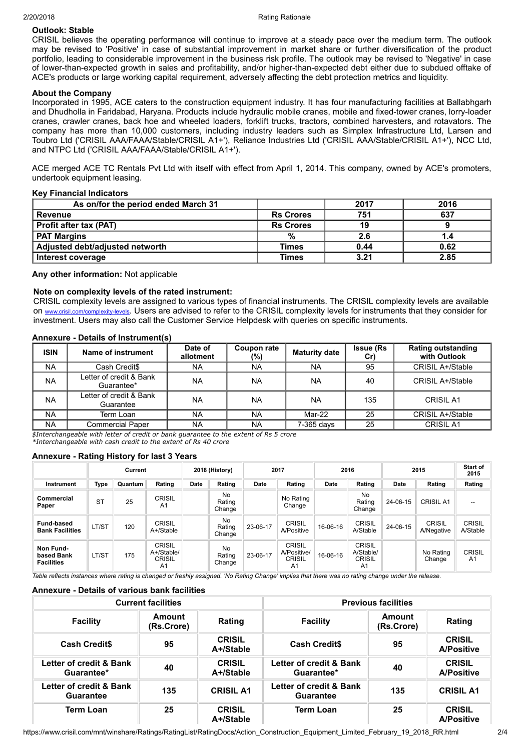## Outlook: Stable

CRISIL believes the operating performance will continue to improve at a steady pace over the medium term. The outlook may be revised to 'Positive' in case of substantial improvement in market share or further diversification of the product portfolio, leading to considerable improvement in the business risk profile. The outlook may be revised to 'Negative' in case of lower-than-expected growth in sales and profitability, and/or higher-than-expected debt either due to subdued offtake of ACE's products or large working capital requirement, adversely affecting the debt protection metrics and liquidity.

## About the Company

Incorporated in 1995, ACE caters to the construction equipment industry. It has four manufacturing facilities at Ballabhgarh and Dhudholla in Faridabad, Haryana. Products include hydraulic mobile cranes, mobile and fixed-tower cranes, lorry-loader cranes, crawler cranes, back hoe and wheeled loaders, forklift trucks, tractors, combined harvesters, and rotavators. The company has more than 10,000 customers, including industry leaders such as Simplex Infrastructure Ltd, Larsen and Toubro Ltd ('CRISIL AAA/FAAA/Stable/CRISIL A1+'), Reliance Industries Ltd ('CRISIL AAA/Stable/CRISIL A1+'), NCC Ltd, and NTPC Ltd ('CRISIL AAA/FAAA/Stable/CRISIL A1+').

ACE merged ACE TC Rentals Pvt Ltd with itself with effect from April 1, 2014. This company, owned by ACE's promoters, undertook equipment leasing.

#### Key Financial Indicators

| As on/for the period ended March 31 |                  | 2017 | 2016 |
|-------------------------------------|------------------|------|------|
| Revenue                             | <b>Rs Crores</b> | 751  | 637  |
| <b>Profit after tax (PAT)</b>       | <b>Rs Crores</b> | 19   |      |
| <b>PAT Margins</b>                  | %                | 2.6  |      |
| Adjusted debt/adjusted networth     | Times            | 0.44 | 0.62 |
| Interest coverage                   | <b>Times</b>     | 3.21 | 2.85 |

Any other information: Not applicable

## Note on complexity levels of the rated instrument:

CRISIL complexity levels are assigned to various types of financial instruments. The CRISIL complexity levels are available on [www.crisil.com/complexity-levels](http://www.crisil.com/complexity-levels). Users are advised to refer to the CRISIL complexity levels for instruments that they consider for investment. Users may also call the Customer Service Helpdesk with queries on specific instruments.

## Annexure - Details of Instrument(s)

| <b>ISIN</b> | Name of instrument                    | Date of<br>allotment | Coupon rate<br>(%) | <b>Maturity date</b> | <b>Issue (Rs</b><br>Cr) | <b>Rating outstanding</b><br>with Outlook |
|-------------|---------------------------------------|----------------------|--------------------|----------------------|-------------------------|-------------------------------------------|
| NA          | Cash Credit\$                         | <b>NA</b>            | <b>NA</b>          | <b>NA</b>            | 95                      | <b>CRISIL A+/Stable</b>                   |
| NA          | Letter of credit & Bank<br>Guarantee* | <b>NA</b>            | <b>NA</b>          | <b>NA</b>            | 40                      | CRISIL A+/Stable                          |
| <b>NA</b>   | Letter of credit & Bank<br>Guarantee  | <b>NA</b>            | <b>NA</b>          | <b>NA</b>            | 135                     | <b>CRISIL A1</b>                          |
| <b>NA</b>   | Term Loan                             | <b>NA</b>            | <b>NA</b>          | Mar-22               | 25                      | <b>CRISIL A+/Stable</b>                   |
| <b>NA</b>   | <b>Commercial Paper</b>               | <b>NA</b>            | <b>NA</b>          | 7-365 days           | 25                      | <b>CRISIL A1</b>                          |
|             |                                       |                      |                    |                      |                         |                                           |

\$Interchangeable with letter of credit or bank guarantee to the extent of Rs 5 crore

\*Interchangeable with cash credit to the extent of Rs 40 crore

#### Annexure - Rating History for last 3 Years

|                                              |           | Current |                                                                |      | 2018 (History)          |          | 2017                                                            |          | 2016                                              |          | 2015                        | <b>Start of</b><br>2015         |
|----------------------------------------------|-----------|---------|----------------------------------------------------------------|------|-------------------------|----------|-----------------------------------------------------------------|----------|---------------------------------------------------|----------|-----------------------------|---------------------------------|
| <b>Instrument</b>                            | Type      | Quantum | Rating                                                         | Date | Rating                  | Date     | Rating                                                          | Date     | Rating                                            | Date     | Rating                      | Rating                          |
| Commercial<br>Paper                          | <b>ST</b> | 25      | <b>CRISIL</b><br>A <sub>1</sub>                                |      | No<br>Rating<br>Change  |          | No Rating<br>Change                                             |          | No<br>Rating<br>Change                            | 24-06-15 | <b>CRISIL A1</b>            |                                 |
| <b>Fund-based</b><br><b>Bank Facilities</b>  | LT/ST     | 120     | CRISIL<br>A+/Stable                                            |      | No.<br>Rating<br>Change | 23-06-17 | <b>CRISIL</b><br>A/Positive                                     | 16-06-16 | <b>CRISIL</b><br>A/Stable                         | 24-06-15 | <b>CRISIL</b><br>A/Negative | <b>CRISIL</b><br>A/Stable       |
| Non Fund-<br>based Bank<br><b>Facilities</b> | LT/ST     | 175     | <b>CRISIL</b><br>A+/Stable/<br><b>CRISIL</b><br>A <sub>1</sub> |      | No<br>Rating<br>Change  | 23-06-17 | <b>CRISIL</b><br>A/Positive/<br><b>CRISIL</b><br>A <sub>1</sub> | 16-06-16 | <b>CRISIL</b><br>A/Stable/<br><b>CRISIL</b><br>A1 |          | No Rating<br>Change         | <b>CRISIL</b><br>A <sub>1</sub> |

Table reflects instances where rating is changed or freshly assigned. 'No Rating Change' implies that there was no rating change under the release.

#### Annexure - Details of various bank facilities

| <b>Current facilities</b>                   |                      |                            | <b>Previous facilities</b>                  |                      |                                    |
|---------------------------------------------|----------------------|----------------------------|---------------------------------------------|----------------------|------------------------------------|
| <b>Facility</b>                             | Amount<br>(Rs.Crore) | Rating                     | <b>Facility</b>                             | Amount<br>(Rs.Crore) | Rating                             |
| <b>Cash Credits</b>                         | 95                   | <b>CRISIL</b><br>A+/Stable | <b>Cash Credits</b>                         | 95                   | <b>CRISIL</b><br><b>A/Positive</b> |
| Letter of credit & Bank<br>Guarantee*       | 40                   | <b>CRISIL</b><br>A+/Stable | Letter of credit & Bank<br>Guarantee*       | 40                   | <b>CRISIL</b><br><b>A/Positive</b> |
| Letter of credit & Bank<br><b>Guarantee</b> | 135                  | <b>CRISIL A1</b>           | Letter of credit & Bank<br><b>Guarantee</b> | 135                  | <b>CRISIL A1</b>                   |
| <b>Term Loan</b>                            | 25                   | <b>CRISIL</b><br>A+/Stable | <b>Term Loan</b>                            | 25                   | <b>CRISIL</b><br><b>A/Positive</b> |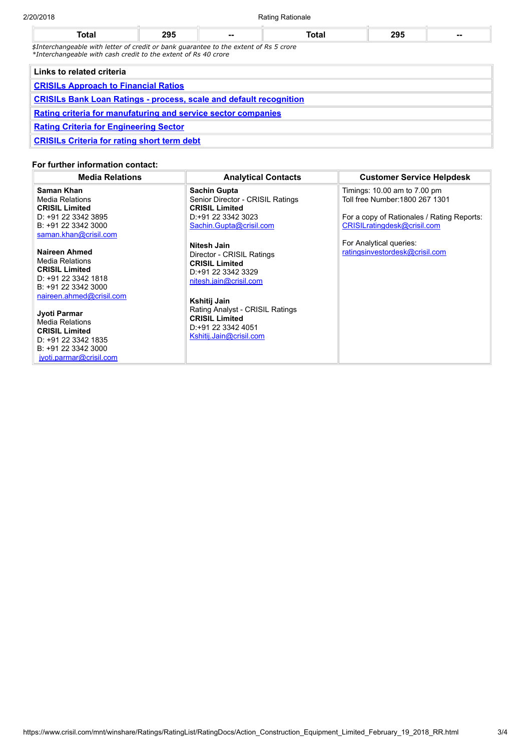| 2/20/2018 |  | <b>Rating Rationale</b> |  |
|-----------|--|-------------------------|--|
|           |  |                         |  |

| <b>Total</b>                                                                                                                                            | 295                                         | -- | Total | 295 | -- |  |  |
|---------------------------------------------------------------------------------------------------------------------------------------------------------|---------------------------------------------|----|-------|-----|----|--|--|
| \$Interchangeable with letter of credit or bank quarantee to the extent of Rs 5 crore<br>*Interchangeable with cash credit to the extent of Rs 40 crore |                                             |    |       |     |    |  |  |
| Links to related criteria                                                                                                                               |                                             |    |       |     |    |  |  |
|                                                                                                                                                         | <b>CRISILS Approach to Financial Ratios</b> |    |       |     |    |  |  |
| <b>CRISILs Bank Loan Ratings - process, scale and default recognition</b>                                                                               |                                             |    |       |     |    |  |  |
| Rating criteria for manufaturing and service sector companies                                                                                           |                                             |    |       |     |    |  |  |

Rating Criteria for [Engineering](http://www.crisil.com/Ratings/SectorMethodology/MethodologyDocs/criteria/Rating%20Criteria%20for%20Engineering%20Sector.pdf) Sector

[CRISILs](http://www.crisil.com/Ratings/SectorMethodology/MethodologyDocs/criteria/CRISILs%20Criteria%20for%20rating%20short%20term%20debt.pdf) Criteria for rating short term debt

## For further information contact:

| <b>Media Relations</b>                                                                                                                                                                                                                                                                 | <b>Analytical Contacts</b>                                                                                                                                                                                                                      | <b>Customer Service Helpdesk</b>                                                                                                             |
|----------------------------------------------------------------------------------------------------------------------------------------------------------------------------------------------------------------------------------------------------------------------------------------|-------------------------------------------------------------------------------------------------------------------------------------------------------------------------------------------------------------------------------------------------|----------------------------------------------------------------------------------------------------------------------------------------------|
| Saman Khan<br><b>Media Relations</b><br><b>CRISIL Limited</b><br>D: +91 22 3342 3895<br>B: +91 22 3342 3000<br>saman.khan@crisil.com                                                                                                                                                   | <b>Sachin Gupta</b><br>Senior Director - CRISIL Ratings<br><b>CRISIL Limited</b><br>D: +91 22 3342 3023<br>Sachin.Gupta@crisil.com                                                                                                              | Timings: 10.00 am to 7.00 pm<br>Toll free Number: 1800 267 1301<br>For a copy of Rationales / Rating Reports:<br>CRISILratingdesk@crisil.com |
| Naireen Ahmed<br><b>Media Relations</b><br><b>CRISIL Limited</b><br>D: +91 22 3342 1818<br>B: +91 22 3342 3000<br>naireen.ahmed@crisil.com<br>Jyoti Parmar<br><b>Media Relations</b><br><b>CRISIL Limited</b><br>D: +91 22 3342 1835<br>B: +91 22 3342 3000<br>jyoti.parmar@crisil.com | Nitesh Jain<br>Director - CRISIL Ratings<br><b>CRISIL Limited</b><br>D:+91 22 3342 3329<br>nitesh.jain@crisil.com<br>Kshitij Jain<br>Rating Analyst - CRISIL Ratings<br><b>CRISIL Limited</b><br>D: +91 22 3342 4051<br>Kshitij.Jain@crisil.com | For Analytical queries:<br>ratingsinvestordesk@crisil.com                                                                                    |